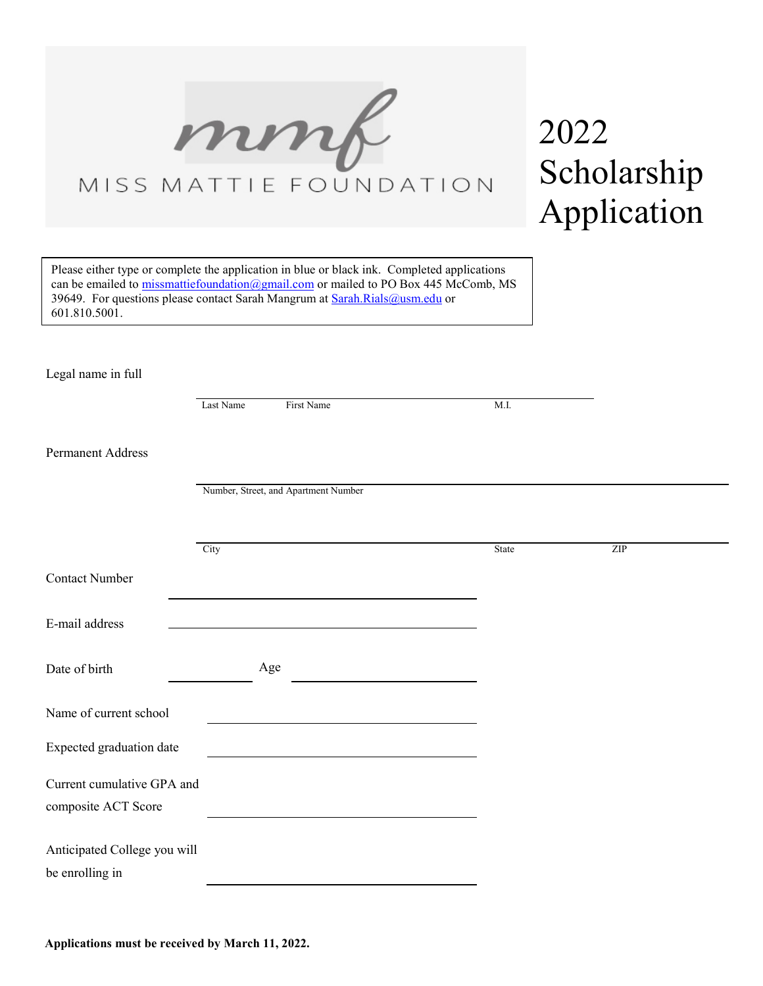

## 2022 Scholarship Application

Please either type or complete the application in blue or black ink. Completed applications can be emailed to [missmattiefoundation@gmail.com](mailto:missmattiefoundation@gmail.com) or mailed to PO Box 445 McComb, MS 39649. For questions please contact Sarah Mangrum at [Sarah.Rials@usm.edu](mailto:Sarah.Rials@usm.edu) or 601.810.5001.

Legal name in full

|                                                   | Last Name | First Name                                                                                                                                                                                                                    | M.I.  |                             |
|---------------------------------------------------|-----------|-------------------------------------------------------------------------------------------------------------------------------------------------------------------------------------------------------------------------------|-------|-----------------------------|
| Permanent Address                                 |           |                                                                                                                                                                                                                               |       |                             |
|                                                   |           | Number, Street, and Apartment Number                                                                                                                                                                                          |       |                             |
|                                                   | City      |                                                                                                                                                                                                                               | State | $\ensuremath{\mathrm{ZIP}}$ |
| <b>Contact Number</b>                             |           | the control of the control of the control of the control of the control of the control of the control of the control of the control of the control of the control of the control of the control of the control of the control |       |                             |
| E-mail address                                    |           |                                                                                                                                                                                                                               |       |                             |
| Date of birth                                     |           | Age                                                                                                                                                                                                                           |       |                             |
| Name of current school                            |           |                                                                                                                                                                                                                               |       |                             |
| Expected graduation date                          |           |                                                                                                                                                                                                                               |       |                             |
| Current cumulative GPA and<br>composite ACT Score |           |                                                                                                                                                                                                                               |       |                             |
| Anticipated College you will<br>be enrolling in   |           |                                                                                                                                                                                                                               |       |                             |
|                                                   |           |                                                                                                                                                                                                                               |       |                             |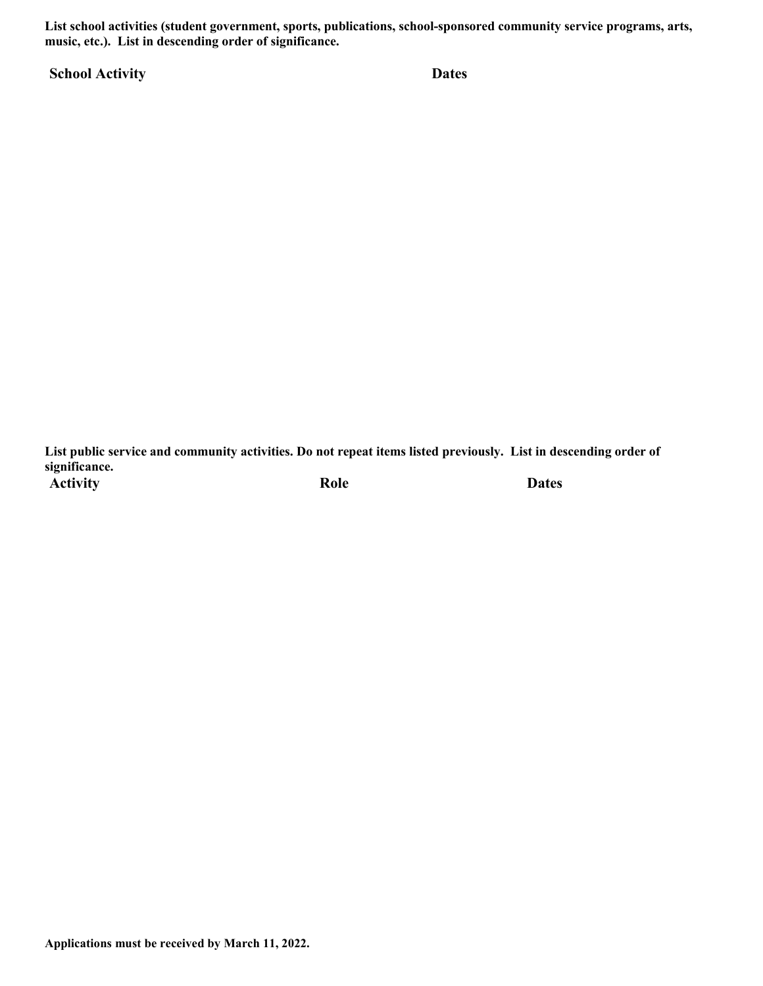**List school activities (student government, sports, publications, school-sponsored community service programs, arts, music, etc.). List in descending order of significance.** 

**School Activity Dates**

**List public service and community activities. Do not repeat items listed previously. List in descending order of significance.**  Activity **Role** Dates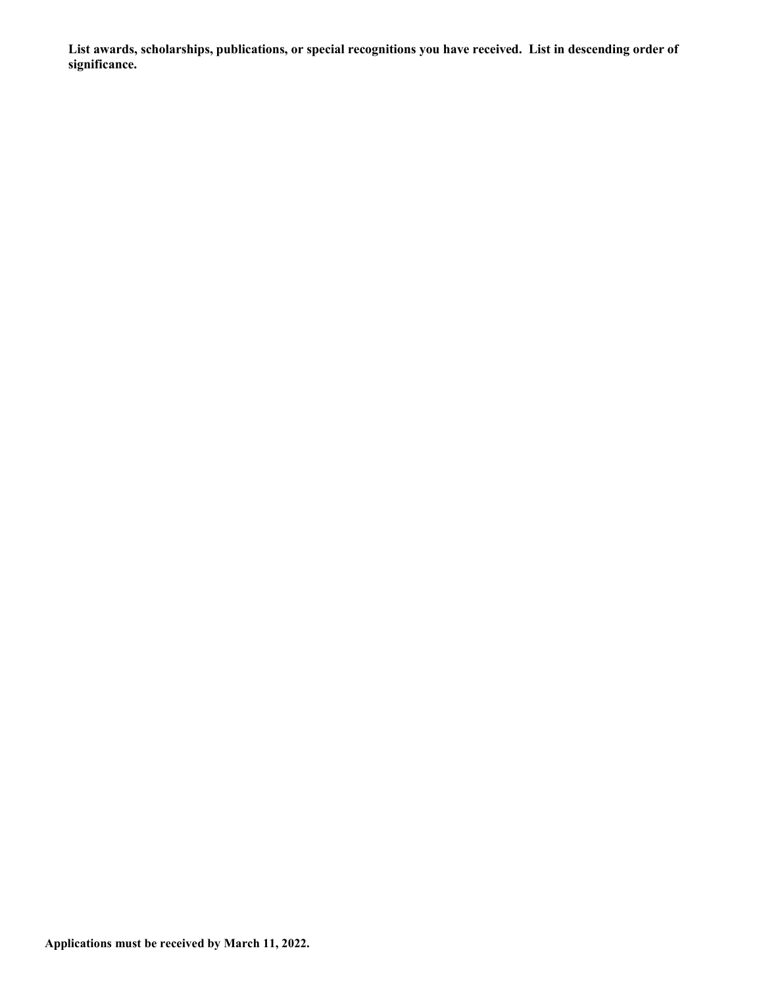**List awards, scholarships, publications, or special recognitions you have received. List in descending order of significance.**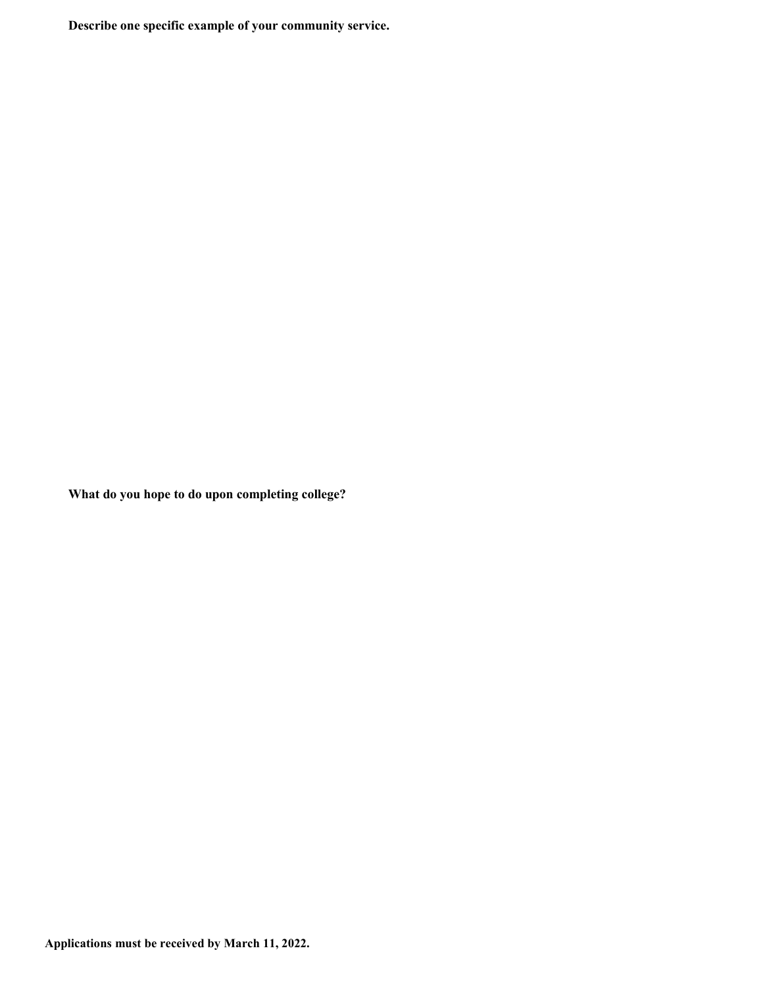**Describe one specific example of your community service.**

**What do you hope to do upon completing college?**

**Applications must be received by March 11, 2022.**